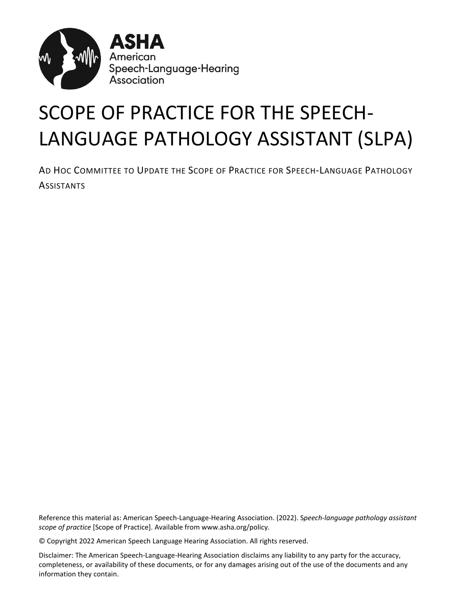

# SCOPE OF PRACTICE FOR THE SPEECH-LANGUAGE PATHOLOGY ASSISTANT (SLPA)

AD HOC COMMITTEE TO UPDATE THE SCOPE OF PRACTICE FOR SPEECH-LANGUAGE PATHOLOGY **ASSISTANTS** 

Reference this material as: American Speech-Language-Hearing Association. (2022). S*peech-language pathology assistant scope of practice* [Scope of Practice]. Available from www.asha.org/policy.

© Copyright 2022 American Speech Language Hearing Association. All rights reserved.

Disclaimer: The American Speech-Language-Hearing Association disclaims any liability to any party for the accuracy, completeness, or availability of these documents, or for any damages arising out of the use of the documents and any information they contain.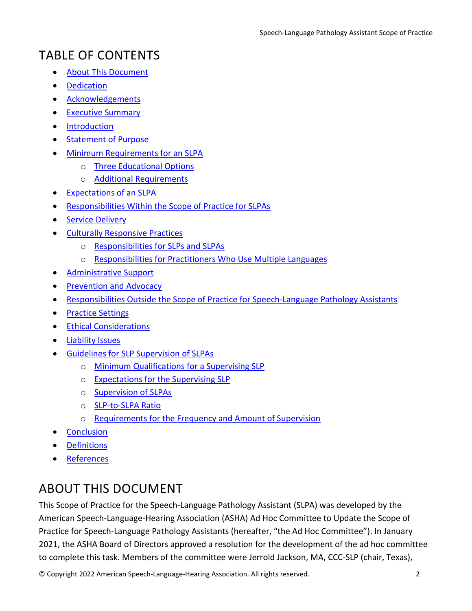# TABLE OF CONTENTS

- [About This Document](#page-1-0)
- [Dedication](#page-2-0)
- [Acknowledgements](#page-2-1)
- [Executive Summary](#page-2-2)
- [Introduction](#page-3-0)
- [Statement of Purpose](#page-4-0)
- [Minimum Requirements for an SLPA](#page-4-1)
	- o [Three Educational Options](#page-4-2)
	- o [Additional Requirements](#page-5-0)
- [Expectations of an SLPA](#page-5-1)
- [Responsibilities Within the Scope of Practice for SLPAs](#page-5-2)
- [Service Delivery](#page-6-0)
- [Culturally Responsive Practices](#page-8-0)
	- o [Responsibilities for SLPs and SLPAs](#page-8-1)
	- o [Responsibilities for Practitioners Who Use Multiple Languages](#page-8-2)
- [Administrative Support](#page-9-0)
- **[Prevention and Advocacy](#page-9-1)**
- [Responsibilities Outside the Scope of Practice for Speech-Language Pathology Assistants](#page-9-2)
- [Practice Settings](#page-10-0)
- [Ethical Considerations](#page-11-0)
- [Liability Issues](#page-14-0)
- [Guidelines for SLP Supervision of SLPAs](#page-14-1)
	- o [Minimum Qualifications for a Supervising SLP](#page-14-2)
	- o [Expectations for the Supervising SLP](#page-15-0)
	- o [Supervision of SLPAs](#page-15-1)
	- o [SLP-to-SLPA Ratio](#page-16-0)
	- o [Requirements for the Frequency and Amount of Supervision](#page-16-1)
- **[Conclusion](#page-18-0)**
- **[Definitions](#page-18-1)**
- **[References](#page-20-0)**

# <span id="page-1-0"></span>ABOUT THIS DOCUMENT

This Scope of Practice for the Speech-Language Pathology Assistant (SLPA) was developed by the American Speech-Language-Hearing Association (ASHA) Ad Hoc Committee to Update the Scope of Practice for Speech-Language Pathology Assistants (hereafter, "the Ad Hoc Committee"). In January 2021, the ASHA Board of Directors approved a resolution for the development of the ad hoc committee to complete this task. Members of the committee were Jerrold Jackson, MA, CCC-SLP (chair, Texas),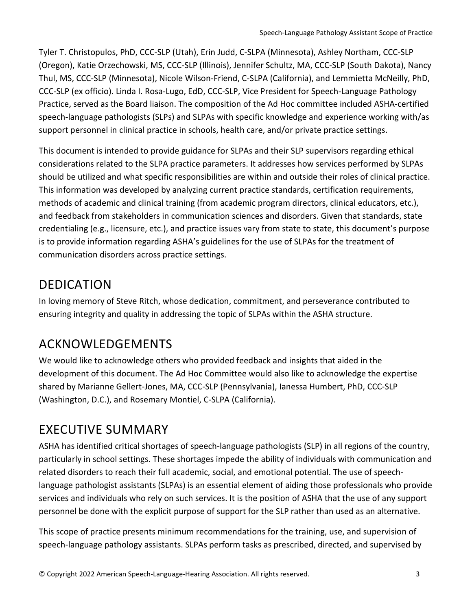Tyler T. Christopulos, PhD, CCC-SLP (Utah), Erin Judd, C-SLPA (Minnesota), Ashley Northam, CCC-SLP (Oregon), Katie Orzechowski, MS, CCC-SLP (Illinois), Jennifer Schultz, MA, CCC-SLP (South Dakota), Nancy Thul, MS, CCC-SLP (Minnesota), Nicole Wilson-Friend, C-SLPA (California), and Lemmietta McNeilly, PhD, CCC-SLP (ex officio). Linda I. Rosa-Lugo, EdD, CCC-SLP, Vice President for Speech-Language Pathology Practice, served as the Board liaison. The composition of the Ad Hoc committee included ASHA-certified speech-language pathologists (SLPs) and SLPAs with specific knowledge and experience working with/as support personnel in clinical practice in schools, health care, and/or private practice settings.

This document is intended to provide guidance for SLPAs and their SLP supervisors regarding ethical considerations related to the SLPA practice parameters. It addresses how services performed by SLPAs should be utilized and what specific responsibilities are within and outside their roles of clinical practice. This information was developed by analyzing current practice standards, certification requirements, methods of academic and clinical training (from academic program directors, clinical educators, etc.), and feedback from stakeholders in communication sciences and disorders. Given that standards, state credentialing (e.g., licensure, etc.), and practice issues vary from state to state, this document's purpose is to provide information regarding ASHA's guidelines for the use of SLPAs for the treatment of communication disorders across practice settings.

### <span id="page-2-0"></span>DEDICATION

In loving memory of Steve Ritch, whose dedication, commitment, and perseverance contributed to ensuring integrity and quality in addressing the topic of SLPAs within the ASHA structure.

# <span id="page-2-1"></span>ACKNOWLEDGEMENTS

We would like to acknowledge others who provided feedback and insights that aided in the development of this document. The Ad Hoc Committee would also like to acknowledge the expertise shared by Marianne Gellert-Jones, MA, CCC-SLP (Pennsylvania), Ianessa Humbert, PhD, CCC-SLP (Washington, D.C.), and Rosemary Montiel, C-SLPA (California).

# <span id="page-2-2"></span>EXECUTIVE SUMMARY

ASHA has identified critical shortages of speech-language pathologists (SLP) in all regions of the country, particularly in school settings. These shortages impede the ability of individuals with communication and related disorders to reach their full academic, social, and emotional potential. The use of speechlanguage pathologist assistants (SLPAs) is an essential element of aiding those professionals who provide services and individuals who rely on such services. It is the position of ASHA that the use of any support personnel be done with the explicit purpose of support for the SLP rather than used as an alternative.

This scope of practice presents minimum recommendations for the training, use, and supervision of speech-language pathology assistants. SLPAs perform tasks as prescribed, directed, and supervised by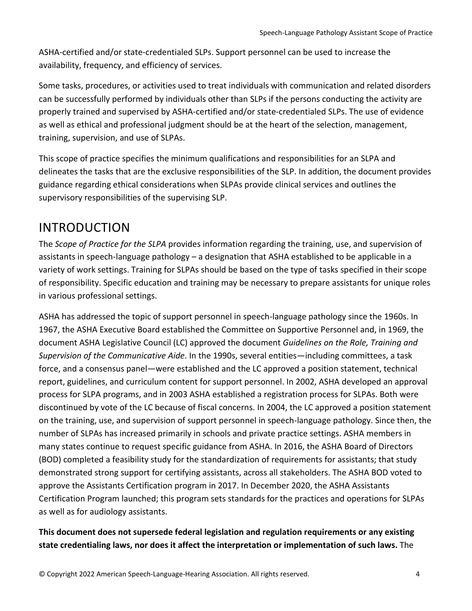ASHA-certified and/or state-credentialed SLPs. Support personnel can be used to increase the availability, frequency, and efficiency of services.

Some tasks, procedures, or activities used to treat individuals with communication and related disorders can be successfully performed by individuals other than SLPs if the persons conducting the activity are properly trained and supervised by ASHA-certified and/or state-credentialed SLPs. The use of evidence as well as ethical and professional judgment should be at the heart of the selection, management, training, supervision, and use of SLPAs.

This scope of practice specifies the minimum qualifications and responsibilities for an SLPA and delineates the tasks that are the exclusive responsibilities of the SLP. In addition, the document provides guidance regarding ethical considerations when SLPAs provide clinical services and outlines the supervisory responsibilities of the supervising SLP.

#### <span id="page-3-0"></span>INTRODUCTION

The *Scope of Practice for the SLPA* provides information regarding the training, use, and supervision of assistants in speech-language pathology – a designation that ASHA established to be applicable in a variety of work settings. Training for SLPAs should be based on the type of tasks specified in their scope of responsibility. Specific education and training may be necessary to prepare assistants for unique roles in various professional settings.

ASHA has addressed the topic of support personnel in speech-language pathology since the 1960s. In 1967, the ASHA Executive Board established the Committee on Supportive Personnel and, in 1969, the document ASHA Legislative Council (LC) approved the document *Guidelines on the Role, Training and Supervision of the Communicative Aide*. In the 1990s, several entities—including committees, a task force, and a consensus panel—were established and the LC approved a position statement, technical report, guidelines, and curriculum content for support personnel. In 2002, ASHA developed an approval process for SLPA programs, and in 2003 ASHA established a registration process for SLPAs. Both were discontinued by vote of the LC because of fiscal concerns. In 2004, the LC approved a position statement on the training, use, and supervision of support personnel in speech-language pathology. Since then, the number of SLPAs has increased primarily in schools and private practice settings. ASHA members in many states continue to request specific guidance from ASHA. In 2016, the ASHA Board of Directors (BOD) completed a feasibility study for the standardization of requirements for assistants; that study demonstrated strong support for certifying assistants, across all stakeholders. The ASHA BOD voted to approve the Assistants Certification program in 2017. In December 2020, the ASHA Assistants Certification Program launched; this program sets standards for the practices and operations for SLPAs as well as for audiology assistants.

#### **This document does not supersede federal legislation and regulation requirements or any existing state credentialing laws, nor does it affect the interpretation or implementation of such laws.** The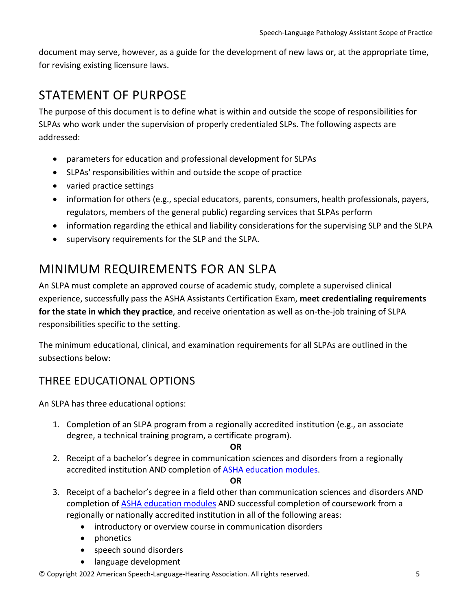document may serve, however, as a guide for the development of new laws or, at the appropriate time, for revising existing licensure laws.

### <span id="page-4-0"></span>STATEMENT OF PURPOSE

The purpose of this document is to define what is within and outside the scope of responsibilities for SLPAs who work under the supervision of properly credentialed SLPs. The following aspects are addressed:

- parameters for education and professional development for SLPAs
- SLPAs' responsibilities within and outside the scope of practice
- varied practice settings
- information for others (e.g., special educators, parents, consumers, health professionals, payers, regulators, members of the general public) regarding services that SLPAs perform
- information regarding the ethical and liability considerations for the supervising SLP and the SLPA
- supervisory requirements for the SLP and the SLPA.

### <span id="page-4-1"></span>MINIMUM REQUIREMENTS FOR AN SLPA

An SLPA must complete an approved course of academic study, complete a supervised clinical experience, successfully pass the ASHA Assistants Certification Exam, **meet credentialing requirements for the state in which they practice**, and receive orientation as well as on-the-job training of SLPA responsibilities specific to the setting.

The minimum educational, clinical, and examination requirements for all SLPAs are outlined in the subsections below:

#### <span id="page-4-2"></span>THREE EDUCATIONAL OPTIONS

An SLPA has three educational options:

- 1. Completion of an SLPA program from a regionally accredited institution (e.g., an associate degree, a technical training program, a certificate program).
	- **OR**
- 2. Receipt of a bachelor's degree in communication sciences and disorders from a regionally accredited institution AND completion of **ASHA education modules**.

#### **OR**

- 3. Receipt of a bachelor's degree in a field other than communication sciences and disorders AND completion of [ASHA education modules](https://www.asha.org/certification/prerequisite-courses-for-assistants-certification/#Online-Modules) AND successful completion of coursework from a regionally or nationally accredited institution in all of the following areas:
	- introductory or overview course in communication disorders
	- phonetics
	- speech sound disorders
	- language development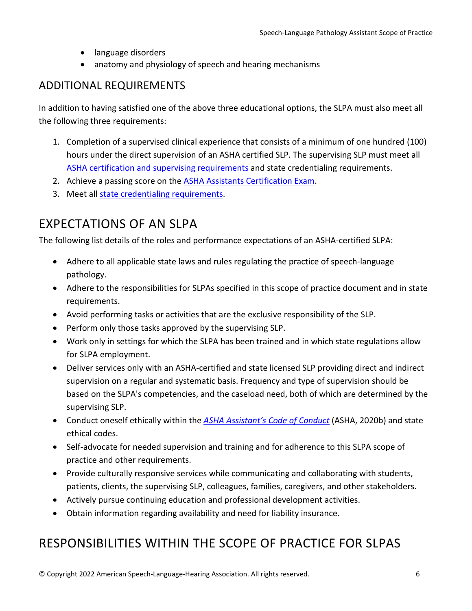- language disorders
- anatomy and physiology of speech and hearing mechanisms

#### <span id="page-5-0"></span>ADDITIONAL REQUIREMENTS

In addition to having satisfied one of the above three educational options, the SLPA must also meet all the following three requirements:

- 1. Completion of a supervised clinical experience that consists of a minimum of one hundred (100) hours under the direct supervision of an ASHA certified SLP. The supervising SLP must meet all [ASHA certification and supervising requirements](https://www.asha.org/certification/supervision-requirements/) and state credentialing requirements.
- 2. Achieve a passing score on the [ASHA Assistants Certification Exam.](https://www.asha.org/certification/assistants-certification-exam/)
- 3. Meet all [state credentialing requirements.](https://www.asha.org/advocacy/state/)

### <span id="page-5-1"></span>EXPECTATIONS OF AN SLPA

The following list details of the roles and performance expectations of an ASHA-certified SLPA:

- Adhere to all applicable state laws and rules regulating the practice of speech-language pathology.
- Adhere to the responsibilities for SLPAs specified in this scope of practice document and in state requirements.
- Avoid performing tasks or activities that are the exclusive responsibility of the SLP.
- Perform only those tasks approved by the supervising SLP.
- Work only in settings for which the SLPA has been trained and in which state regulations allow for SLPA employment.
- Deliver services only with an ASHA-certified and state licensed SLP providing direct and indirect supervision on a regular and systematic basis. Frequency and type of supervision should be based on the SLPA's competencies, and the caseload need, both of which are determined by the supervising SLP.
- Conduct oneself ethically within the *[ASHA Assistant's Code of Conduct](https://www.asha.org/policy/Assistants-Code-of-Conduct/)* (ASHA, 2020b) and state ethical codes.
- Self-advocate for needed supervision and training and for adherence to this SLPA scope of practice and other requirements.
- Provide culturally responsive services while communicating and collaborating with students, patients, clients, the supervising SLP, colleagues, families, caregivers, and other stakeholders.
- Actively pursue continuing education and professional development activities.
- Obtain information regarding availability and need for liability insurance.

### <span id="page-5-2"></span>RESPONSIBILITIES WITHIN THE SCOPE OF PRACTICE FOR SLPAS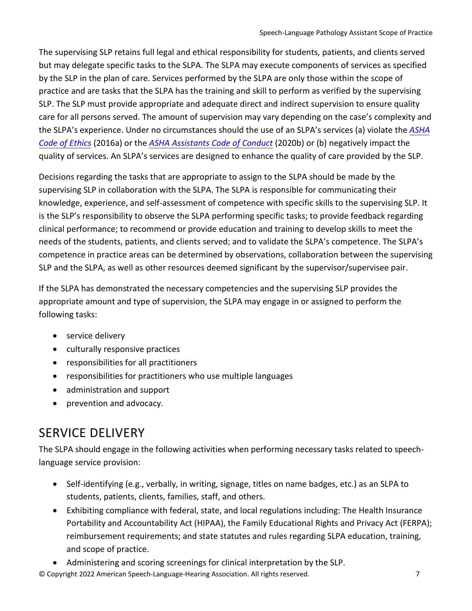The supervising SLP retains full legal and ethical responsibility for students, patients, and clients served but may delegate specific tasks to the SLPA. The SLPA may execute components of services as specified by the SLP in the plan of care. Services performed by the SLPA are only those within the scope of practice and are tasks that the SLPA has the training and skill to perform as verified by the supervising SLP. The SLP must provide appropriate and adequate direct and indirect supervision to ensure quality care for all persons served. The amount of supervision may vary depending on the case's complexity and the SLPA's experience. Under no circumstances should the use of an SLPA's services (a) violate the *[ASHA](https://www.asha.org/code-of-ethics/)  [Code of Ethics](https://www.asha.org/code-of-ethics/)* (2016a) or the *[ASHA Assistants Code of Conduct](https://www.asha.org/policy/Assistants-Code-of-Conduct/)* (2020b) or (b) negatively impact the quality of services. An SLPA's services are designed to enhance the quality of care provided by the SLP.

Decisions regarding the tasks that are appropriate to assign to the SLPA should be made by the supervising SLP in collaboration with the SLPA. The SLPA is responsible for communicating their knowledge, experience, and self-assessment of competence with specific skills to the supervising SLP. It is the SLP's responsibility to observe the SLPA performing specific tasks; to provide feedback regarding clinical performance; to recommend or provide education and training to develop skills to meet the needs of the students, patients, and clients served; and to validate the SLPA's competence. The SLPA's competence in practice areas can be determined by observations, collaboration between the supervising SLP and the SLPA, as well as other resources deemed significant by the supervisor/supervisee pair.

If the SLPA has demonstrated the necessary competencies and the supervising SLP provides the appropriate amount and type of supervision, the SLPA may engage in or assigned to perform the following tasks:

- service delivery
- culturally responsive practices
- responsibilities for all practitioners
- responsibilities for practitioners who use multiple languages
- administration and support
- prevention and advocacy.

### <span id="page-6-0"></span>SERVICE DELIVERY

The SLPA should engage in the following activities when performing necessary tasks related to speechlanguage service provision:

- Self-identifying (e.g., verbally, in writing, signage, titles on name badges, etc.) as an SLPA to students, patients, clients, families, staff, and others.
- Exhibiting compliance with federal, state, and local regulations including: The Health Insurance Portability and Accountability Act (HIPAA), the Family Educational Rights and Privacy Act (FERPA); reimbursement requirements; and state statutes and rules regarding SLPA education, training, and scope of practice.
- Administering and scoring screenings for clinical interpretation by the SLP.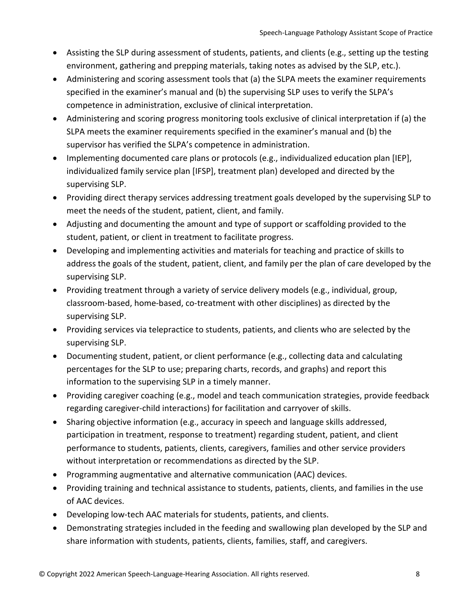- Assisting the SLP during assessment of students, patients, and clients (e.g., setting up the testing environment, gathering and prepping materials, taking notes as advised by the SLP, etc.).
- Administering and scoring assessment tools that (a) the SLPA meets the examiner requirements specified in the examiner's manual and (b) the supervising SLP uses to verify the SLPA's competence in administration, exclusive of clinical interpretation.
- Administering and scoring progress monitoring tools exclusive of clinical interpretation if (a) the SLPA meets the examiner requirements specified in the examiner's manual and (b) the supervisor has verified the SLPA's competence in administration.
- Implementing documented care plans or protocols (e.g., individualized education plan [IEP], individualized family service plan [IFSP], treatment plan) developed and directed by the supervising SLP.
- Providing direct therapy services addressing treatment goals developed by the supervising SLP to meet the needs of the student, patient, client, and family.
- Adjusting and documenting the amount and type of support or scaffolding provided to the student, patient, or client in treatment to facilitate progress.
- Developing and implementing activities and materials for teaching and practice of skills to address the goals of the student, patient, client, and family per the plan of care developed by the supervising SLP.
- Providing treatment through a variety of service delivery models (e.g., individual, group, classroom-based, home-based, co-treatment with other disciplines) as directed by the supervising SLP.
- Providing services via telepractice to students, patients, and clients who are selected by the supervising SLP.
- Documenting student, patient, or client performance (e.g., collecting data and calculating percentages for the SLP to use; preparing charts, records, and graphs) and report this information to the supervising SLP in a timely manner.
- Providing caregiver coaching (e.g., model and teach communication strategies, provide feedback regarding caregiver-child interactions) for facilitation and carryover of skills.
- Sharing objective information (e.g., accuracy in speech and language skills addressed, participation in treatment, response to treatment) regarding student, patient, and client performance to students, patients, clients, caregivers, families and other service providers without interpretation or recommendations as directed by the SLP.
- Programming augmentative and alternative communication (AAC) devices.
- Providing training and technical assistance to students, patients, clients, and families in the use of AAC devices.
- Developing low-tech AAC materials for students, patients, and clients.
- Demonstrating strategies included in the feeding and swallowing plan developed by the SLP and share information with students, patients, clients, families, staff, and caregivers.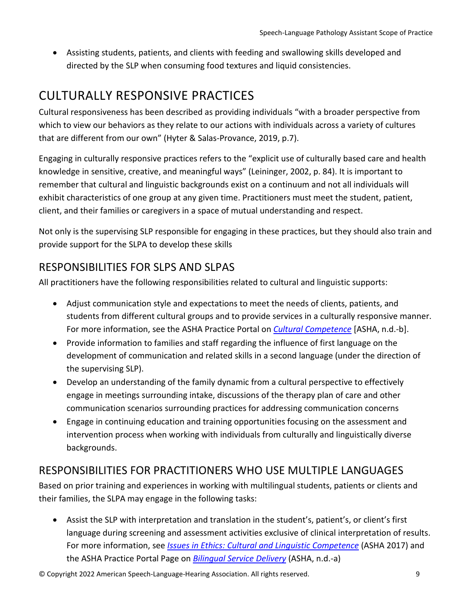• Assisting students, patients, and clients with feeding and swallowing skills developed and directed by the SLP when consuming food textures and liquid consistencies.

# <span id="page-8-0"></span>CULTURALLY RESPONSIVE PRACTICES

Cultural responsiveness has been described as providing individuals "with a broader perspective from which to view our behaviors as they relate to our actions with individuals across a variety of cultures that are different from our own" (Hyter & Salas-Provance, 2019, p.7).

Engaging in culturally responsive practices refers to the "explicit use of culturally based care and health knowledge in sensitive, creative, and meaningful ways" (Leininger, 2002, p. 84). It is important to remember that cultural and linguistic backgrounds exist on a continuum and not all individuals will exhibit characteristics of one group at any given time. Practitioners must meet the student, patient, client, and their families or caregivers in a space of mutual understanding and respect.

Not only is the supervising SLP responsible for engaging in these practices, but they should also train and provide support for the SLPA to develop these skills

#### <span id="page-8-1"></span>RESPONSIBILITIES FOR SLPS AND SLPAS

All practitioners have the following responsibilities related to cultural and linguistic supports:

- Adjust communication style and expectations to meet the needs of clients, patients, and students from different cultural groups and to provide services in a culturally responsive manner. For more information, see the ASHA Practice Portal on *[Cultural Competence](https://www.asha.org/practice-portal/professional-issues/cultural-competence/)* [ASHA, n.d.-b].
- Provide information to families and staff regarding the influence of first language on the development of communication and related skills in a second language (under the direction of the supervising SLP).
- Develop an understanding of the family dynamic from a cultural perspective to effectively engage in meetings surrounding intake, discussions of the therapy plan of care and other communication scenarios surrounding practices for addressing communication concerns
- Engage in continuing education and training opportunities focusing on the assessment and intervention process when working with individuals from culturally and linguistically diverse backgrounds.

#### <span id="page-8-2"></span>RESPONSIBILITIES FOR PRACTITIONERS WHO USE MULTIPLE LANGUAGES

Based on prior training and experiences in working with multilingual students, patients or clients and their families, the SLPA may engage in the following tasks:

• Assist the SLP with interpretation and translation in the student's, patient's, or client's first language during screening and assessment activities exclusive of clinical interpretation of results. For more information, see *[Issues in Ethics: Cultural and Linguistic Competence](https://www.asha.org/practice/ethics/cultural-and-linguistic-competence/)* (ASHA 2017) and the ASHA Practice Portal Page on *[Bilingual Service Delivery](https://www.asha.org/practice-portal/professional-issues/bilingual-service-delivery/)* (ASHA, n.d.-a)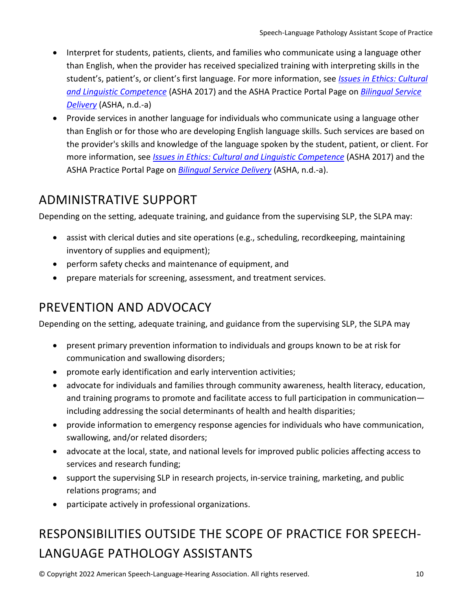- Interpret for students, patients, clients, and families who communicate using a language other than English, when the provider has received specialized training with interpreting skills in the student's, patient's, or client's first language. For more information, see *[Issues in Ethics: Cultural](https://www.asha.org/practice/ethics/cultural-and-linguistic-competence/) [and Linguistic Competence](https://www.asha.org/practice/ethics/cultural-and-linguistic-competence/)* (ASHA 2017) and the ASHA Practice Portal Page on *[Bilingual Service](https://www.asha.org/practice-portal/professional-issues/bilingual-service-delivery/) [Delivery](https://www.asha.org/practice-portal/professional-issues/bilingual-service-delivery/)* (ASHA, n.d.-a)
- Provide services in another language for individuals who communicate using a language other than English or for those who are developing English language skills. Such services are based on the provider's skills and knowledge of the language spoken by the student, patient, or client. For more information, see *[Issues in Ethics: Cultural and Linguistic Competence](https://www.asha.org/practice/ethics/cultural-and-linguistic-competence/)* (ASHA 2017) and the ASHA Practice Portal Page on *[Bilingual Service Delivery](https://www.asha.org/practice-portal/professional-issues/bilingual-service-delivery/)* (ASHA, n.d.-a).

# <span id="page-9-0"></span>ADMINISTRATIVE SUPPORT

Depending on the setting, adequate training, and guidance from the supervising SLP, the SLPA may:

- assist with clerical duties and site operations (e.g., scheduling, recordkeeping, maintaining inventory of supplies and equipment);
- perform safety checks and maintenance of equipment, and
- prepare materials for screening, assessment, and treatment services.

# <span id="page-9-1"></span>PREVENTION AND ADVOCACY

Depending on the setting, adequate training, and guidance from the supervising SLP, the SLPA may

- present primary prevention information to individuals and groups known to be at risk for communication and swallowing disorders;
- promote early identification and early intervention activities;
- advocate for individuals and families through community awareness, health literacy, education, and training programs to promote and facilitate access to full participation in communication including addressing the social determinants of health and health disparities;
- provide information to emergency response agencies for individuals who have communication, swallowing, and/or related disorders;
- advocate at the local, state, and national levels for improved public policies affecting access to services and research funding;
- support the supervising SLP in research projects, in-service training, marketing, and public relations programs; and
- participate actively in professional organizations.

# <span id="page-9-2"></span>RESPONSIBILITIES OUTSIDE THE SCOPE OF PRACTICE FOR SPEECH-LANGUAGE PATHOLOGY ASSISTANTS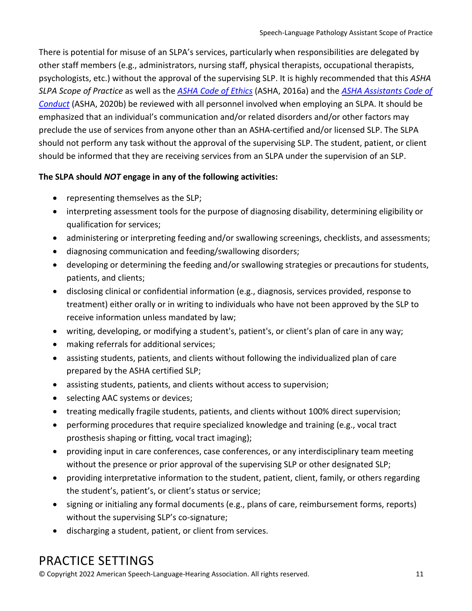There is potential for misuse of an SLPA's services, particularly when responsibilities are delegated by other staff members (e.g., administrators, nursing staff, physical therapists, occupational therapists, psychologists, etc.) without the approval of the supervising SLP. It is highly recommended that this *ASHA SLPA Scope of Practice* as well as the *[ASHA Code of Ethics](https://www.asha.org/Code-of-Ethics/)* (ASHA, 2016a) and the *[ASHA Assistants Code of](https://www.asha.org/policy/Assistants-Code-of-Conduct/)  [Conduct](https://www.asha.org/policy/Assistants-Code-of-Conduct/)* (ASHA, 2020b) be reviewed with all personnel involved when employing an SLPA. It should be emphasized that an individual's communication and/or related disorders and/or other factors may preclude the use of services from anyone other than an ASHA-certified and/or licensed SLP. The SLPA should not perform any task without the approval of the supervising SLP. The student, patient, or client should be informed that they are receiving services from an SLPA under the supervision of an SLP.

#### **The SLPA should** *NOT* **engage in any of the following activities:**

- representing themselves as the SLP;
- interpreting assessment tools for the purpose of diagnosing disability, determining eligibility or qualification for services;
- administering or interpreting feeding and/or swallowing screenings, checklists, and assessments;
- diagnosing communication and feeding/swallowing disorders;
- developing or determining the feeding and/or swallowing strategies or precautions for students, patients, and clients;
- disclosing clinical or confidential information (e.g., diagnosis, services provided, response to treatment) either orally or in writing to individuals who have not been approved by the SLP to receive information unless mandated by law;
- writing, developing, or modifying a student's, patient's, or client's plan of care in any way;
- making referrals for additional services;
- assisting students, patients, and clients without following the individualized plan of care prepared by the ASHA certified SLP;
- assisting students, patients, and clients without access to supervision;
- selecting AAC systems or devices;
- treating medically fragile students, patients, and clients without 100% direct supervision;
- performing procedures that require specialized knowledge and training (e.g., vocal tract prosthesis shaping or fitting, vocal tract imaging);
- providing input in care conferences, case conferences, or any interdisciplinary team meeting without the presence or prior approval of the supervising SLP or other designated SLP;
- providing interpretative information to the student, patient, client, family, or others regarding the student's, patient's, or client's status or service;
- signing or initialing any formal documents (e.g., plans of care, reimbursement forms, reports) without the supervising SLP's co-signature;
- discharging a student, patient, or client from services.

### <span id="page-10-0"></span>PRACTICE SETTINGS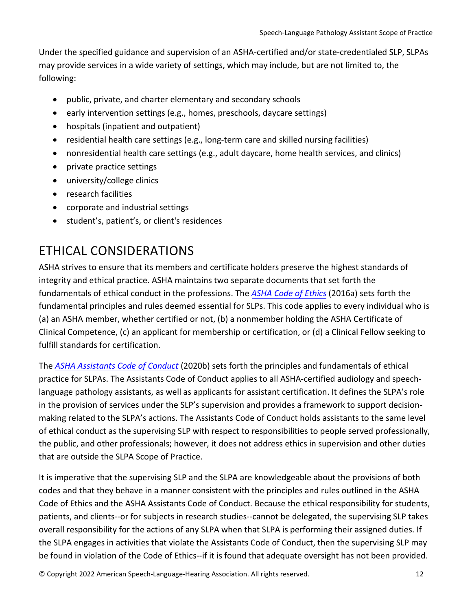Under the specified guidance and supervision of an ASHA-certified and/or state-credentialed SLP, SLPAs may provide services in a wide variety of settings, which may include, but are not limited to, the following:

- public, private, and charter elementary and secondary schools
- early intervention settings (e.g., homes, preschools, daycare settings)
- hospitals (inpatient and outpatient)
- residential health care settings (e.g., long-term care and skilled nursing facilities)
- nonresidential health care settings (e.g., adult daycare, home health services, and clinics)
- private practice settings
- university/college clinics
- research facilities
- corporate and industrial settings
- student's, patient's, or client's residences

### <span id="page-11-0"></span>ETHICAL CONSIDERATIONS

ASHA strives to ensure that its members and certificate holders preserve the highest standards of integrity and ethical practice. ASHA maintains two separate documents that set forth the fundamentals of ethical conduct in the professions. The *[ASHA Code of Ethics](https://www.asha.org/Code-of-Ethics/)* (2016a) sets forth the fundamental principles and rules deemed essential for SLPs. This code applies to every individual who is (a) an ASHA member, whether certified or not, (b) a nonmember holding the ASHA Certificate of Clinical Competence, (c) an applicant for membership or certification, or (d) a Clinical Fellow seeking to fulfill standards for certification.

The *[ASHA Assistants Code of Conduct](https://www.asha.org/policy/Assistants-Code-of-Conduct/)* (2020b) sets forth the principles and fundamentals of ethical practice for SLPAs. The Assistants Code of Conduct applies to all ASHA-certified audiology and speechlanguage pathology assistants, as well as applicants for assistant certification. It defines the SLPA's role in the provision of services under the SLP's supervision and provides a framework to support decisionmaking related to the SLPA's actions. The Assistants Code of Conduct holds assistants to the same level of ethical conduct as the supervising SLP with respect to responsibilities to people served professionally, the public, and other professionals; however, it does not address ethics in supervision and other duties that are outside the SLPA Scope of Practice.

It is imperative that the supervising SLP and the SLPA are knowledgeable about the provisions of both codes and that they behave in a manner consistent with the principles and rules outlined in the ASHA Code of Ethics and the ASHA Assistants Code of Conduct. Because the ethical responsibility for students, patients, and clients--or for subjects in research studies--cannot be delegated, the supervising SLP takes overall responsibility for the actions of any SLPA when that SLPA is performing their assigned duties. If the SLPA engages in activities that violate the Assistants Code of Conduct, then the supervising SLP may be found in violation of the Code of Ethics--if it is found that adequate oversight has not been provided.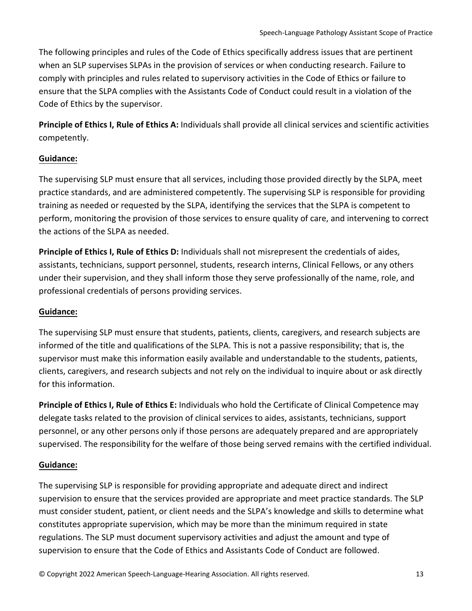The following principles and rules of the Code of Ethics specifically address issues that are pertinent when an SLP supervises SLPAs in the provision of services or when conducting research. Failure to comply with principles and rules related to supervisory activities in the Code of Ethics or failure to ensure that the SLPA complies with the Assistants Code of Conduct could result in a violation of the Code of Ethics by the supervisor.

**Principle of Ethics I, Rule of Ethics A:** Individuals shall provide all clinical services and scientific activities competently.

#### **Guidance:**

The supervising SLP must ensure that all services, including those provided directly by the SLPA, meet practice standards, and are administered competently. The supervising SLP is responsible for providing training as needed or requested by the SLPA, identifying the services that the SLPA is competent to perform, monitoring the provision of those services to ensure quality of care, and intervening to correct the actions of the SLPA as needed.

**Principle of Ethics I, Rule of Ethics D:** Individuals shall not misrepresent the credentials of aides, assistants, technicians, support personnel, students, research interns, Clinical Fellows, or any others under their supervision, and they shall inform those they serve professionally of the name, role, and professional credentials of persons providing services.

#### **Guidance:**

The supervising SLP must ensure that students, patients, clients, caregivers, and research subjects are informed of the title and qualifications of the SLPA. This is not a passive responsibility; that is, the supervisor must make this information easily available and understandable to the students, patients, clients, caregivers, and research subjects and not rely on the individual to inquire about or ask directly for this information.

**Principle of Ethics I, Rule of Ethics E:** Individuals who hold the Certificate of Clinical Competence may delegate tasks related to the provision of clinical services to aides, assistants, technicians, support personnel, or any other persons only if those persons are adequately prepared and are appropriately supervised. The responsibility for the welfare of those being served remains with the certified individual.

#### **Guidance:**

The supervising SLP is responsible for providing appropriate and adequate direct and indirect supervision to ensure that the services provided are appropriate and meet practice standards. The SLP must consider student, patient, or client needs and the SLPA's knowledge and skills to determine what constitutes appropriate supervision, which may be more than the minimum required in state regulations. The SLP must document supervisory activities and adjust the amount and type of supervision to ensure that the Code of Ethics and Assistants Code of Conduct are followed.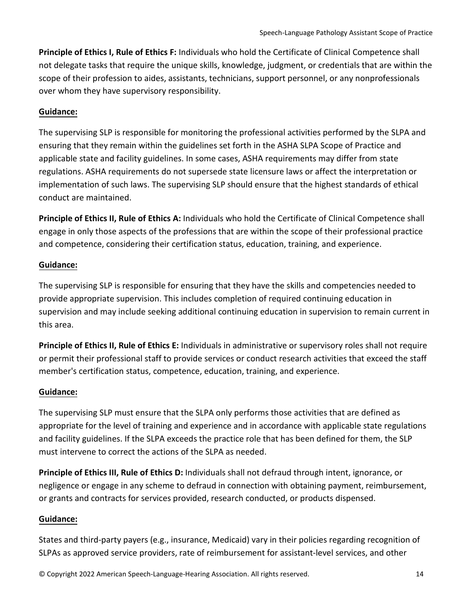**Principle of Ethics I, Rule of Ethics F:** Individuals who hold the Certificate of Clinical Competence shall not delegate tasks that require the unique skills, knowledge, judgment, or credentials that are within the scope of their profession to aides, assistants, technicians, support personnel, or any nonprofessionals over whom they have supervisory responsibility.

#### **Guidance:**

The supervising SLP is responsible for monitoring the professional activities performed by the SLPA and ensuring that they remain within the guidelines set forth in the ASHA SLPA Scope of Practice and applicable state and facility guidelines. In some cases, ASHA requirements may differ from state regulations. ASHA requirements do not supersede state licensure laws or affect the interpretation or implementation of such laws. The supervising SLP should ensure that the highest standards of ethical conduct are maintained.

**Principle of Ethics II, Rule of Ethics A:** Individuals who hold the Certificate of Clinical Competence shall engage in only those aspects of the professions that are within the scope of their professional practice and competence, considering their certification status, education, training, and experience.

#### **Guidance:**

The supervising SLP is responsible for ensuring that they have the skills and competencies needed to provide appropriate supervision. This includes completion of required continuing education in supervision and may include seeking additional continuing education in supervision to remain current in this area.

**Principle of Ethics II, Rule of Ethics E:** Individuals in administrative or supervisory roles shall not require or permit their professional staff to provide services or conduct research activities that exceed the staff member's certification status, competence, education, training, and experience.

#### **Guidance:**

The supervising SLP must ensure that the SLPA only performs those activities that are defined as appropriate for the level of training and experience and in accordance with applicable state regulations and facility guidelines. If the SLPA exceeds the practice role that has been defined for them, the SLP must intervene to correct the actions of the SLPA as needed.

**Principle of Ethics III, Rule of Ethics D:** Individuals shall not defraud through intent, ignorance, or negligence or engage in any scheme to defraud in connection with obtaining payment, reimbursement, or grants and contracts for services provided, research conducted, or products dispensed.

#### **Guidance:**

States and third-party payers (e.g., insurance, Medicaid) vary in their policies regarding recognition of SLPAs as approved service providers, rate of reimbursement for assistant-level services, and other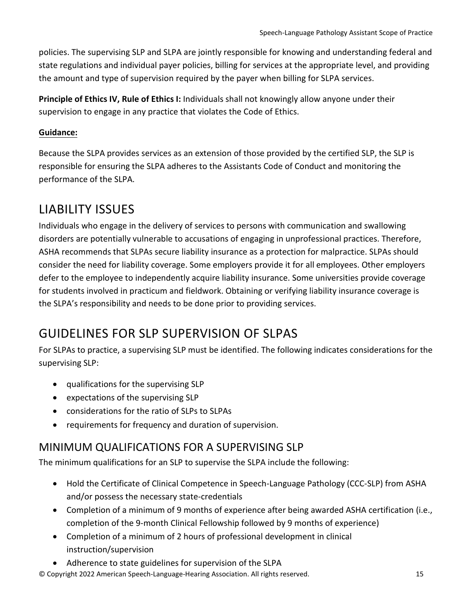policies. The supervising SLP and SLPA are jointly responsible for knowing and understanding federal and state regulations and individual payer policies, billing for services at the appropriate level, and providing the amount and type of supervision required by the payer when billing for SLPA services.

**Principle of Ethics IV, Rule of Ethics I:** Individuals shall not knowingly allow anyone under their supervision to engage in any practice that violates the Code of Ethics.

#### **Guidance:**

Because the SLPA provides services as an extension of those provided by the certified SLP, the SLP is responsible for ensuring the SLPA adheres to the Assistants Code of Conduct and monitoring the performance of the SLPA.

# <span id="page-14-0"></span>LIABILITY ISSUES

Individuals who engage in the delivery of services to persons with communication and swallowing disorders are potentially vulnerable to accusations of engaging in unprofessional practices. Therefore, ASHA recommends that SLPAs secure liability insurance as a protection for malpractice. SLPAs should consider the need for liability coverage. Some employers provide it for all employees. Other employers defer to the employee to independently acquire liability insurance. Some universities provide coverage for students involved in practicum and fieldwork. Obtaining or verifying liability insurance coverage is the SLPA's responsibility and needs to be done prior to providing services.

# <span id="page-14-1"></span>GUIDELINES FOR SLP SUPERVISION OF SLPAS

For SLPAs to practice, a supervising SLP must be identified. The following indicates considerations for the supervising SLP:

- qualifications for the supervising SLP
- expectations of the supervising SLP
- considerations for the ratio of SLPs to SLPAs
- requirements for frequency and duration of supervision.

#### <span id="page-14-2"></span>MINIMUM QUALIFICATIONS FOR A SUPERVISING SLP

The minimum qualifications for an SLP to supervise the SLPA include the following:

- Hold the Certificate of Clinical Competence in Speech-Language Pathology (CCC-SLP) from ASHA and/or possess the necessary state-credentials
- Completion of a minimum of 9 months of experience after being awarded ASHA certification (i.e., completion of the 9-month Clinical Fellowship followed by 9 months of experience)
- Completion of a minimum of 2 hours of professional development in clinical instruction/supervision
- Adherence to state guidelines for supervision of the SLPA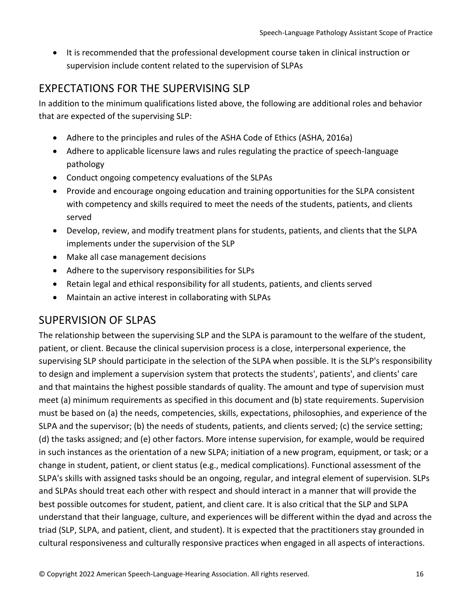• It is recommended that the professional development course taken in clinical instruction or supervision include content related to the supervision of SLPAs

#### <span id="page-15-0"></span>EXPECTATIONS FOR THE SUPERVISING SLP

In addition to the minimum qualifications listed above, the following are additional roles and behavior that are expected of the supervising SLP:

- Adhere to the principles and rules of the ASHA Code of Ethics (ASHA, 2016a)
- Adhere to applicable licensure laws and rules regulating the practice of speech-language pathology
- Conduct ongoing competency evaluations of the SLPAs
- Provide and encourage ongoing education and training opportunities for the SLPA consistent with competency and skills required to meet the needs of the students, patients, and clients served
- Develop, review, and modify treatment plans for students, patients, and clients that the SLPA implements under the supervision of the SLP
- Make all case management decisions
- Adhere to the supervisory responsibilities for SLPs
- Retain legal and ethical responsibility for all students, patients, and clients served
- Maintain an active interest in collaborating with SLPAs

#### <span id="page-15-1"></span>SUPERVISION OF SLPAS

The relationship between the supervising SLP and the SLPA is paramount to the welfare of the student, patient, or client. Because the clinical supervision process is a close, interpersonal experience, the supervising SLP should participate in the selection of the SLPA when possible. It is the SLP's responsibility to design and implement a supervision system that protects the students', patients', and clients' care and that maintains the highest possible standards of quality. The amount and type of supervision must meet (a) minimum requirements as specified in this document and (b) state requirements. Supervision must be based on (a) the needs, competencies, skills, expectations, philosophies, and experience of the SLPA and the supervisor; (b) the needs of students, patients, and clients served; (c) the service setting; (d) the tasks assigned; and (e) other factors. More intense supervision, for example, would be required in such instances as the orientation of a new SLPA; initiation of a new program, equipment, or task; or a change in student, patient, or client status (e.g., medical complications). Functional assessment of the SLPA's skills with assigned tasks should be an ongoing, regular, and integral element of supervision. SLPs and SLPAs should treat each other with respect and should interact in a manner that will provide the best possible outcomes for student, patient, and client care. It is also critical that the SLP and SLPA understand that their language, culture, and experiences will be different within the dyad and across the triad (SLP, SLPA, and patient, client, and student). It is expected that the practitioners stay grounded in cultural responsiveness and culturally responsive practices when engaged in all aspects of interactions.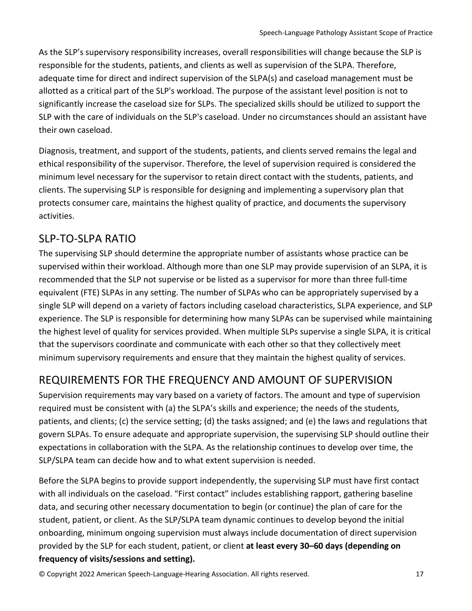As the SLP's supervisory responsibility increases, overall responsibilities will change because the SLP is responsible for the students, patients, and clients as well as supervision of the SLPA. Therefore, adequate time for direct and indirect supervision of the SLPA(s) and caseload management must be allotted as a critical part of the SLP's workload. The purpose of the assistant level position is not to significantly increase the caseload size for SLPs. The specialized skills should be utilized to support the SLP with the care of individuals on the SLP's caseload. Under no circumstances should an assistant have their own caseload.

Diagnosis, treatment, and support of the students, patients, and clients served remains the legal and ethical responsibility of the supervisor. Therefore, the level of supervision required is considered the minimum level necessary for the supervisor to retain direct contact with the students, patients, and clients. The supervising SLP is responsible for designing and implementing a supervisory plan that protects consumer care, maintains the highest quality of practice, and documents the supervisory activities.

#### <span id="page-16-0"></span>SLP-TO-SLPA RATIO

The supervising SLP should determine the appropriate number of assistants whose practice can be supervised within their workload. Although more than one SLP may provide supervision of an SLPA, it is recommended that the SLP not supervise or be listed as a supervisor for more than three full-time equivalent (FTE) SLPAs in any setting. The number of SLPAs who can be appropriately supervised by a single SLP will depend on a variety of factors including caseload characteristics, SLPA experience, and SLP experience. The SLP is responsible for determining how many SLPAs can be supervised while maintaining the highest level of quality for services provided. When multiple SLPs supervise a single SLPA, it is critical that the supervisors coordinate and communicate with each other so that they collectively meet minimum supervisory requirements and ensure that they maintain the highest quality of services.

#### <span id="page-16-1"></span>REQUIREMENTS FOR THE FREQUENCY AND AMOUNT OF SUPERVISION

Supervision requirements may vary based on a variety of factors. The amount and type of supervision required must be consistent with (a) the SLPA's skills and experience; the needs of the students, patients, and clients; (c) the service setting; (d) the tasks assigned; and (e) the laws and regulations that govern SLPAs. To ensure adequate and appropriate supervision, the supervising SLP should outline their expectations in collaboration with the SLPA. As the relationship continues to develop over time, the SLP/SLPA team can decide how and to what extent supervision is needed.

Before the SLPA begins to provide support independently, the supervising SLP must have first contact with all individuals on the caseload. "First contact" includes establishing rapport, gathering baseline data, and securing other necessary documentation to begin (or continue) the plan of care for the student, patient, or client. As the SLP/SLPA team dynamic continues to develop beyond the initial onboarding, minimum ongoing supervision must always include documentation of direct supervision provided by the SLP for each student, patient, or client **at least every 30–60 days (depending on frequency of visits/sessions and setting).**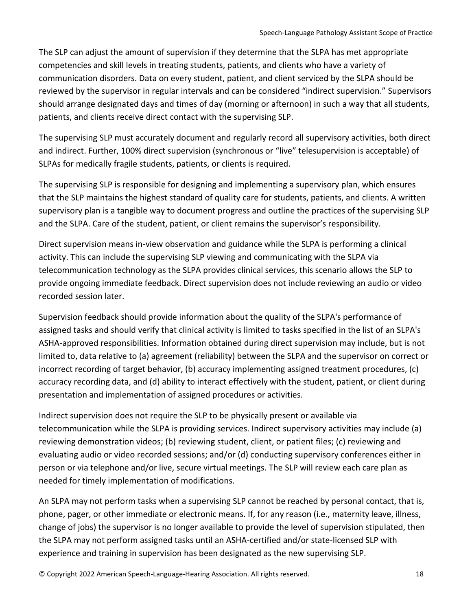The SLP can adjust the amount of supervision if they determine that the SLPA has met appropriate competencies and skill levels in treating students, patients, and clients who have a variety of communication disorders. Data on every student, patient, and client serviced by the SLPA should be reviewed by the supervisor in regular intervals and can be considered "indirect supervision." Supervisors should arrange designated days and times of day (morning or afternoon) in such a way that all students, patients, and clients receive direct contact with the supervising SLP.

The supervising SLP must accurately document and regularly record all supervisory activities, both direct and indirect. Further, 100% direct supervision (synchronous or "live" telesupervision is acceptable) of SLPAs for medically fragile students, patients, or clients is required.

The supervising SLP is responsible for designing and implementing a supervisory plan, which ensures that the SLP maintains the highest standard of quality care for students, patients, and clients. A written supervisory plan is a tangible way to document progress and outline the practices of the supervising SLP and the SLPA. Care of the student, patient, or client remains the supervisor's responsibility.

Direct supervision means in-view observation and guidance while the SLPA is performing a clinical activity. This can include the supervising SLP viewing and communicating with the SLPA via telecommunication technology as the SLPA provides clinical services, this scenario allows the SLP to provide ongoing immediate feedback. Direct supervision does not include reviewing an audio or video recorded session later.

Supervision feedback should provide information about the quality of the SLPA's performance of assigned tasks and should verify that clinical activity is limited to tasks specified in the list of an SLPA's ASHA-approved responsibilities. Information obtained during direct supervision may include, but is not limited to, data relative to (a) agreement (reliability) between the SLPA and the supervisor on correct or incorrect recording of target behavior, (b) accuracy implementing assigned treatment procedures, (c) accuracy recording data, and (d) ability to interact effectively with the student, patient, or client during presentation and implementation of assigned procedures or activities.

Indirect supervision does not require the SLP to be physically present or available via telecommunication while the SLPA is providing services. Indirect supervisory activities may include (a) reviewing demonstration videos; (b) reviewing student, client, or patient files; (c) reviewing and evaluating audio or video recorded sessions; and/or (d) conducting supervisory conferences either in person or via telephone and/or live, secure virtual meetings. The SLP will review each care plan as needed for timely implementation of modifications.

An SLPA may not perform tasks when a supervising SLP cannot be reached by personal contact, that is, phone, pager, or other immediate or electronic means. If, for any reason (i.e., maternity leave, illness, change of jobs) the supervisor is no longer available to provide the level of supervision stipulated, then the SLPA may not perform assigned tasks until an ASHA-certified and/or state-licensed SLP with experience and training in supervision has been designated as the new supervising SLP.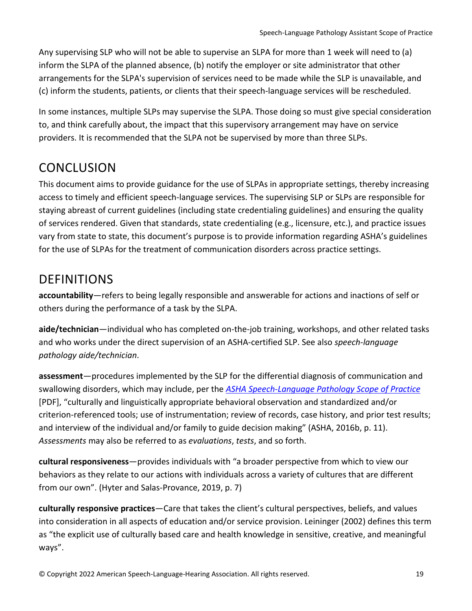Any supervising SLP who will not be able to supervise an SLPA for more than 1 week will need to (a) inform the SLPA of the planned absence, (b) notify the employer or site administrator that other arrangements for the SLPA's supervision of services need to be made while the SLP is unavailable, and (c) inform the students, patients, or clients that their speech-language services will be rescheduled.

In some instances, multiple SLPs may supervise the SLPA. Those doing so must give special consideration to, and think carefully about, the impact that this supervisory arrangement may have on service providers. It is recommended that the SLPA not be supervised by more than three SLPs.

### <span id="page-18-0"></span>**CONCLUSION**

This document aims to provide guidance for the use of SLPAs in appropriate settings, thereby increasing access to timely and efficient speech-language services. The supervising SLP or SLPs are responsible for staying abreast of current guidelines (including state credentialing guidelines) and ensuring the quality of services rendered. Given that standards, state credentialing (e.g., licensure, etc.), and practice issues vary from state to state, this document's purpose is to provide information regarding ASHA's guidelines for the use of SLPAs for the treatment of communication disorders across practice settings.

### <span id="page-18-1"></span>DEFINITIONS

**accountability**—refers to being legally responsible and answerable for actions and inactions of self or others during the performance of a task by the SLPA.

**aide/technician**—individual who has completed on-the-job training, workshops, and other related tasks and who works under the direct supervision of an ASHA-certified SLP. See also *speech-language pathology aide/technician*.

**assessment**—procedures implemented by the SLP for the differential diagnosis of communication and swallowing disorders, which may include, per the *[ASHA Speech-Language Pathology Scope of Practice](https://www.asha.org/siteassets/publications/sp2016-00343.pdf)* [PDF], "culturally and linguistically appropriate behavioral observation and standardized and/or criterion-referenced tools; use of instrumentation; review of records, case history, and prior test results; and interview of the individual and/or family to guide decision making" (ASHA, 2016b, p. 11). *Assessments* may also be referred to as *evaluations*, *tests*, and so forth.

**cultural responsiveness**—provides individuals with "a broader perspective from which to view our behaviors as they relate to our actions with individuals across a variety of cultures that are different from our own". (Hyter and Salas-Provance, 2019, p. 7)

**culturally responsive practices**—Care that takes the client's cultural perspectives, beliefs, and values into consideration in all aspects of education and/or service provision. Leininger (2002) defines this term as "the explicit use of culturally based care and health knowledge in sensitive, creative, and meaningful ways".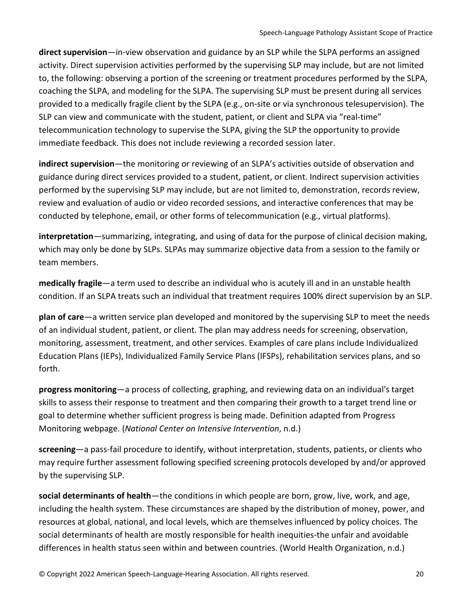**direct supervision**—in-view observation and guidance by an SLP while the SLPA performs an assigned activity. Direct supervision activities performed by the supervising SLP may include, but are not limited to, the following: observing a portion of the screening or treatment procedures performed by the SLPA, coaching the SLPA, and modeling for the SLPA. The supervising SLP must be present during all services provided to a medically fragile client by the SLPA (e.g., on-site or via synchronous telesupervision). The SLP can view and communicate with the student, patient, or client and SLPA via "real-time" telecommunication technology to supervise the SLPA, giving the SLP the opportunity to provide immediate feedback. This does not include reviewing a recorded session later.

**indirect supervision**—the monitoring or reviewing of an SLPA's activities outside of observation and guidance during direct services provided to a student, patient, or client. Indirect supervision activities performed by the supervising SLP may include, but are not limited to, demonstration, records review, review and evaluation of audio or video recorded sessions, and interactive conferences that may be conducted by telephone, email, or other forms of telecommunication (e.g., virtual platforms).

**interpretation**—summarizing, integrating, and using of data for the purpose of clinical decision making, which may only be done by SLPs. SLPAs may summarize objective data from a session to the family or team members.

**medically fragile**—a term used to describe an individual who is acutely ill and in an unstable health condition. If an SLPA treats such an individual that treatment requires 100% direct supervision by an SLP.

**plan of care**—a written service plan developed and monitored by the supervising SLP to meet the needs of an individual student, patient, or client. The plan may address needs for screening, observation, monitoring, assessment, treatment, and other services. Examples of care plans include Individualized Education Plans (IEPs), Individualized Family Service Plans (IFSPs), rehabilitation services plans, and so forth.

**progress monitoring**—a process of collecting, graphing, and reviewing data on an individual's target skills to assess their response to treatment and then comparing their growth to a target trend line or goal to determine whether sufficient progress is being made. Definition adapted from Progress Monitoring webpage. (*National Center on Intensive Intervention*, n.d.)

**screening**—a pass-fail procedure to identify, without interpretation, students, patients, or clients who may require further assessment following specified screening protocols developed by and/or approved by the supervising SLP.

**social determinants of health**—the conditions in which people are born, grow, live, work, and age, including the health system. These circumstances are shaped by the distribution of money, power, and resources at global, national, and local levels, which are themselves influenced by policy choices. The social determinants of health are mostly responsible for health inequities-the unfair and avoidable differences in health status seen within and between countries. (World Health Organization, n.d.)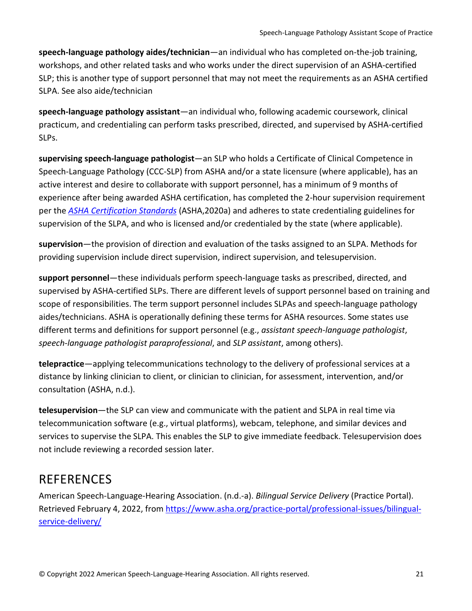**speech-language pathology aides/technician**—an individual who has completed on-the-job training, workshops, and other related tasks and who works under the direct supervision of an ASHA-certified SLP; this is another type of support personnel that may not meet the requirements as an ASHA certified SLPA. See also aide/technician

**speech-language pathology assistant**—an individual who, following academic coursework, clinical practicum, and credentialing can perform tasks prescribed, directed, and supervised by ASHA-certified SLPs.

**supervising speech-language pathologist**—an SLP who holds a Certificate of Clinical Competence in Speech-Language Pathology (CCC-SLP) from ASHA and/or a state licensure (where applicable), has an active interest and desire to collaborate with support personnel, has a minimum of 9 months of experience after being awarded ASHA certification, has completed the 2-hour supervision requirement per the *[ASHA Certification Standards](https://www.asha.org/certification/2020-slp-certification-standards/)* (ASHA,2020a) and adheres to state credentialing guidelines for supervision of the SLPA, and who is licensed and/or credentialed by the state (where applicable).

**supervision**—the provision of direction and evaluation of the tasks assigned to an SLPA. Methods for providing supervision include direct supervision, indirect supervision, and telesupervision.

**support personnel**—these individuals perform speech-language tasks as prescribed, directed, and supervised by ASHA-certified SLPs. There are different levels of support personnel based on training and scope of responsibilities. The term support personnel includes SLPAs and speech-language pathology aides/technicians. ASHA is operationally defining these terms for ASHA resources. Some states use different terms and definitions for support personnel (e.g., *assistant speech-language pathologist*, *speech-language pathologist paraprofessional*, and *SLP assistant*, among others).

**telepractice**—applying telecommunications technology to the delivery of professional services at a distance by linking clinician to client, or clinician to clinician, for assessment, intervention, and/or consultation (ASHA, n.d.).

**telesupervision**—the SLP can view and communicate with the patient and SLPA in real time via telecommunication software (e.g., virtual platforms), webcam, telephone, and similar devices and services to supervise the SLPA. This enables the SLP to give immediate feedback. Telesupervision does not include reviewing a recorded session later.

### <span id="page-20-0"></span>REFERENCES

American Speech-Language-Hearing Association. (n.d.-a). *Bilingual Service Delivery* (Practice Portal). Retrieved February 4, 2022, from [https://www.asha.org/practice-portal/professional-issues/bilingual](https://www.asha.org/practice-portal/professional-issues/bilingual-service-delivery/)[service-delivery/](https://www.asha.org/practice-portal/professional-issues/bilingual-service-delivery/)